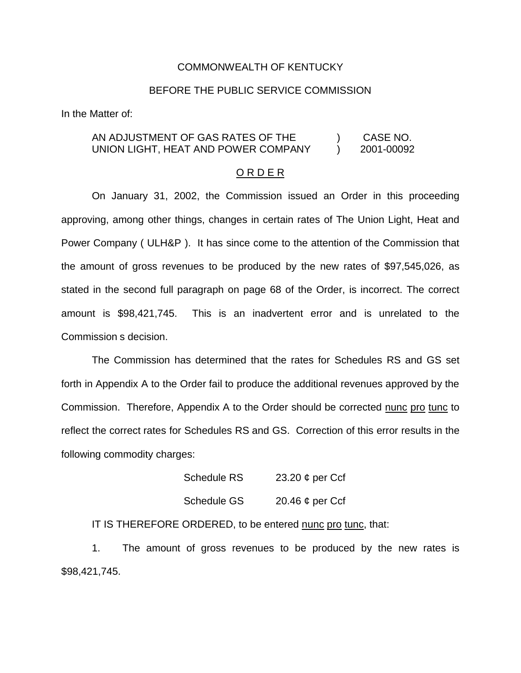## COMMONWEALTH OF KENTUCKY

## BEFORE THE PUBLIC SERVICE COMMISSION

In the Matter of:

## AN ADJUSTMENT OF GAS RATES OF THE  $\qquad \qquad$ ) CASE NO.<br>UNION LIGHT, HEAT AND POWER COMPANY  $\qquad$ ) 2001-00092 UNION LIGHT, HEAT AND POWER COMPANY  $\bigcup_{i=1}^n$  2001-00092

## O R D E R

On January 31, 2002, the Commission issued an Order in this proceeding approving, among other things, changes in certain rates of The Union Light, Heat and Power Company ( ULH&P ). It has since come to the attention of the Commission that the amount of gross revenues to be produced by the new rates of \$97,545,026, as stated in the second full paragraph on page 68 of the Order, is incorrect. The correct amount is \$98,421,745. This is an inadvertent error and is unrelated to the Commission s decision.

The Commission has determined that the rates for Schedules RS and GS set forth in Appendix A to the Order fail to produce the additional revenues approved by the Commission. Therefore, Appendix A to the Order should be corrected nunc pro tunc to reflect the correct rates for Schedules RS and GS. Correction of this error results in the following commodity charges:

| Schedule RS | 23.20 $\phi$ per Ccf |
|-------------|----------------------|
| Schedule GS | 20.46 $\phi$ per Ccf |

IT IS THEREFORE ORDERED, to be entered nunc pro tunc, that:

1. The amount of gross revenues to be produced by the new rates is \$98,421,745.